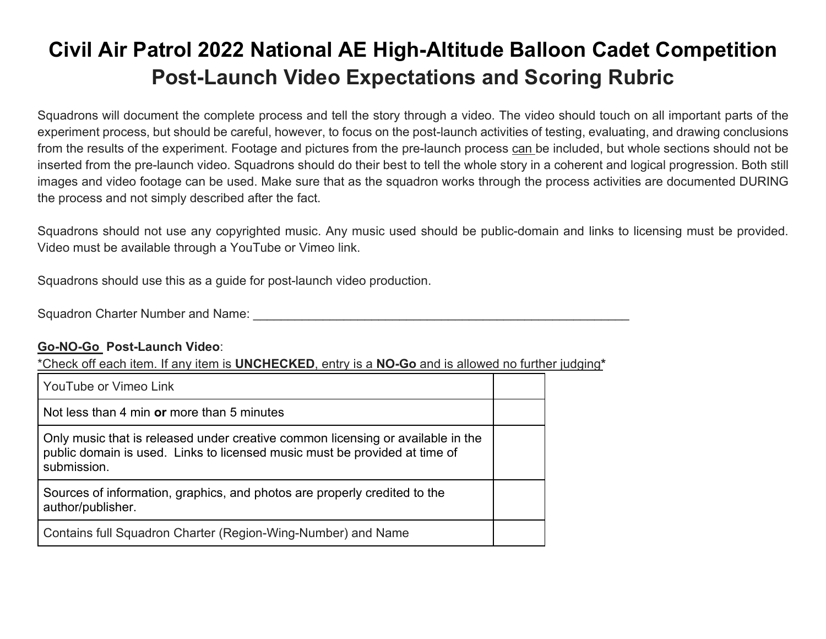## **Civil Air Patrol 2022 National AE High-Altitude Balloon Cadet Competition Post-Launch Video Expectations and Scoring Rubric**

Squadrons will document the complete process and tell the story through a video. The video should touch on all important parts of the experiment process, but should be careful, however, to focus on the post-launch activities of testing, evaluating, and drawing conclusions from the results of the experiment. Footage and pictures from the pre-launch process can be included, but whole sections should not be inserted from the pre-launch video. Squadrons should do their best to tell the whole story in a coherent and logical progression. Both still images and video footage can be used. Make sure that as the squadron works through the process activities are documented DURING the process and not simply described after the fact.

Squadrons should not use any copyrighted music. Any music used should be public-domain and links to licensing must be provided. Video must be available through a YouTube or Vimeo link.

Squadrons should use this as a guide for post-launch video production.

Squadron Charter Number and Name: \_\_\_\_\_\_\_\_\_\_\_\_\_\_\_\_\_\_\_\_\_\_\_\_\_\_\_\_\_\_\_\_\_\_\_\_\_\_\_\_\_\_\_\_\_\_\_\_\_\_\_\_\_\_

## **Go-NO-Go Post-Launch Video**:

\*Check off each item. If any item is **UNCHECKED**, entry is a **NO-Go** and is allowed no further judging**\***

| YouTube or Vimeo Link                                                                                                                                                        |  |
|------------------------------------------------------------------------------------------------------------------------------------------------------------------------------|--|
| Not less than 4 min or more than 5 minutes                                                                                                                                   |  |
| Only music that is released under creative common licensing or available in the<br>public domain is used. Links to licensed music must be provided at time of<br>submission. |  |
| Sources of information, graphics, and photos are properly credited to the<br>author/publisher.                                                                               |  |
| Contains full Squadron Charter (Region-Wing-Number) and Name                                                                                                                 |  |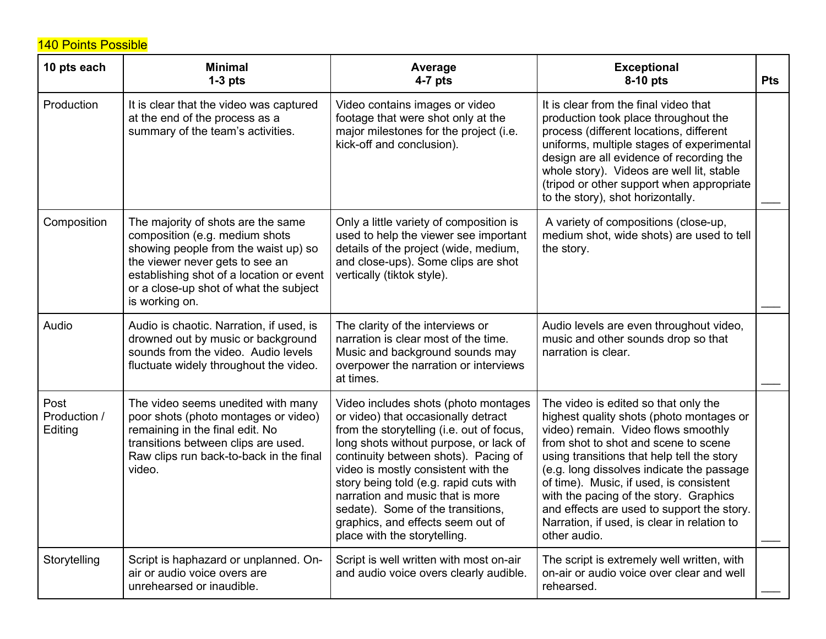140 Points Possible

| 10 pts each                     | <b>Minimal</b><br>$1-3$ pts                                                                                                                                                                                                                             | Average<br>$4-7$ pts                                                                                                                                                                                                                                                                                                                                                                                                                      | <b>Exceptional</b><br>8-10 pts                                                                                                                                                                                                                                                                                                                                                                                                                               | <b>Pts</b> |
|---------------------------------|---------------------------------------------------------------------------------------------------------------------------------------------------------------------------------------------------------------------------------------------------------|-------------------------------------------------------------------------------------------------------------------------------------------------------------------------------------------------------------------------------------------------------------------------------------------------------------------------------------------------------------------------------------------------------------------------------------------|--------------------------------------------------------------------------------------------------------------------------------------------------------------------------------------------------------------------------------------------------------------------------------------------------------------------------------------------------------------------------------------------------------------------------------------------------------------|------------|
| Production                      | It is clear that the video was captured<br>at the end of the process as a<br>summary of the team's activities.                                                                                                                                          | Video contains images or video<br>footage that were shot only at the<br>major milestones for the project (i.e.<br>kick-off and conclusion).                                                                                                                                                                                                                                                                                               | It is clear from the final video that<br>production took place throughout the<br>process (different locations, different<br>uniforms, multiple stages of experimental<br>design are all evidence of recording the<br>whole story). Videos are well lit, stable<br>(tripod or other support when appropriate<br>to the story), shot horizontally.                                                                                                             |            |
| Composition                     | The majority of shots are the same<br>composition (e.g. medium shots<br>showing people from the waist up) so<br>the viewer never gets to see an<br>establishing shot of a location or event<br>or a close-up shot of what the subject<br>is working on. | Only a little variety of composition is<br>used to help the viewer see important<br>details of the project (wide, medium,<br>and close-ups). Some clips are shot<br>vertically (tiktok style).                                                                                                                                                                                                                                            | A variety of compositions (close-up,<br>medium shot, wide shots) are used to tell<br>the story.                                                                                                                                                                                                                                                                                                                                                              |            |
| Audio                           | Audio is chaotic. Narration, if used, is<br>drowned out by music or background<br>sounds from the video. Audio levels<br>fluctuate widely throughout the video.                                                                                         | The clarity of the interviews or<br>narration is clear most of the time.<br>Music and background sounds may<br>overpower the narration or interviews<br>at times.                                                                                                                                                                                                                                                                         | Audio levels are even throughout video,<br>music and other sounds drop so that<br>narration is clear.                                                                                                                                                                                                                                                                                                                                                        |            |
| Post<br>Production /<br>Editing | The video seems unedited with many<br>poor shots (photo montages or video)<br>remaining in the final edit. No<br>transitions between clips are used.<br>Raw clips run back-to-back in the final<br>video.                                               | Video includes shots (photo montages<br>or video) that occasionally detract<br>from the storytelling (i.e. out of focus,<br>long shots without purpose, or lack of<br>continuity between shots). Pacing of<br>video is mostly consistent with the<br>story being told (e.g. rapid cuts with<br>narration and music that is more<br>sedate). Some of the transitions,<br>graphics, and effects seem out of<br>place with the storytelling. | The video is edited so that only the<br>highest quality shots (photo montages or<br>video) remain. Video flows smoothly<br>from shot to shot and scene to scene<br>using transitions that help tell the story<br>(e.g. long dissolves indicate the passage<br>of time). Music, if used, is consistent<br>with the pacing of the story. Graphics<br>and effects are used to support the story.<br>Narration, if used, is clear in relation to<br>other audio. |            |
| Storytelling                    | Script is haphazard or unplanned. On-<br>air or audio voice overs are<br>unrehearsed or inaudible.                                                                                                                                                      | Script is well written with most on-air<br>and audio voice overs clearly audible.                                                                                                                                                                                                                                                                                                                                                         | The script is extremely well written, with<br>on-air or audio voice over clear and well<br>rehearsed.                                                                                                                                                                                                                                                                                                                                                        |            |